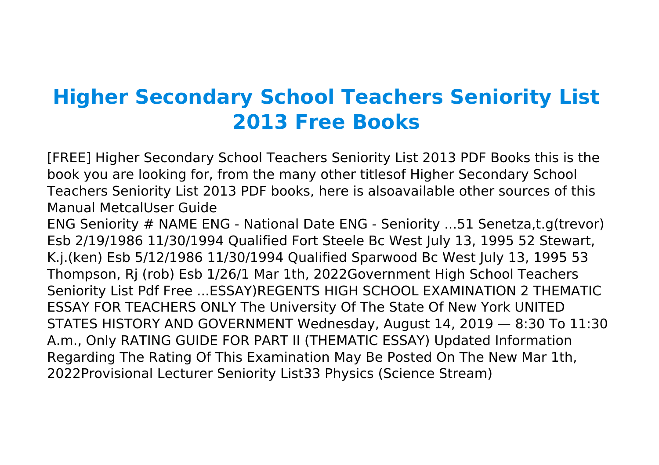## **Higher Secondary School Teachers Seniority List 2013 Free Books**

[FREE] Higher Secondary School Teachers Seniority List 2013 PDF Books this is the book you are looking for, from the many other titlesof Higher Secondary School Teachers Seniority List 2013 PDF books, here is alsoavailable other sources of this Manual MetcalUser Guide

ENG Seniority # NAME ENG - National Date ENG - Seniority ...51 Senetza,t.g(trevor) Esb 2/19/1986 11/30/1994 Qualified Fort Steele Bc West July 13, 1995 52 Stewart, K.j.(ken) Esb 5/12/1986 11/30/1994 Qualified Sparwood Bc West July 13, 1995 53 Thompson, Rj (rob) Esb 1/26/1 Mar 1th, 2022Government High School Teachers Seniority List Pdf Free ...ESSAY)REGENTS HIGH SCHOOL EXAMINATION 2 THEMATIC ESSAY FOR TEACHERS ONLY The University Of The State Of New York UNITED STATES HISTORY AND GOVERNMENT Wednesday, August 14, 2019 — 8:30 To 11:30 A.m., Only RATING GUIDE FOR PART II (THEMATIC ESSAY) Updated Information Regarding The Rating Of This Examination May Be Posted On The New Mar 1th, 2022Provisional Lecturer Seniority List33 Physics (Science Stream)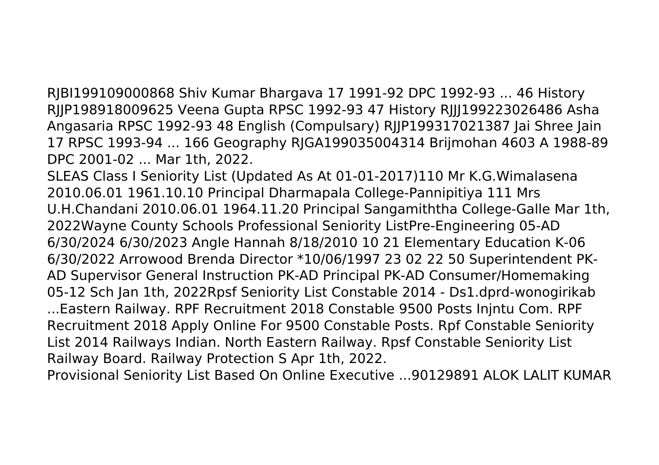RJBI199109000868 Shiv Kumar Bhargava 17 1991-92 DPC 1992-93 ... 46 History RJJP198918009625 Veena Gupta RPSC 1992-93 47 History RJJJ199223026486 Asha Angasaria RPSC 1992-93 48 English (Compulsary) RJJP199317021387 Jai Shree Jain 17 RPSC 1993-94 ... 166 Geography RJGA199035004314 Brijmohan 4603 A 1988-89 DPC 2001-02 ... Mar 1th, 2022.

SLEAS Class I Seniority List (Updated As At 01-01-2017)110 Mr K.G.Wimalasena 2010.06.01 1961.10.10 Principal Dharmapala College-Pannipitiya 111 Mrs U.H.Chandani 2010.06.01 1964.11.20 Principal Sangamiththa College-Galle Mar 1th, 2022Wayne County Schools Professional Seniority ListPre-Engineering 05-AD 6/30/2024 6/30/2023 Angle Hannah 8/18/2010 10 21 Elementary Education K-06 6/30/2022 Arrowood Brenda Director \*10/06/1997 23 02 22 50 Superintendent PK-AD Supervisor General Instruction PK-AD Principal PK-AD Consumer/Homemaking 05-12 Sch Jan 1th, 2022Rpsf Seniority List Constable 2014 - Ds1.dprd-wonogirikab ...Eastern Railway. RPF Recruitment 2018 Constable 9500 Posts Injntu Com. RPF Recruitment 2018 Apply Online For 9500 Constable Posts. Rpf Constable Seniority List 2014 Railways Indian. North Eastern Railway. Rpsf Constable Seniority List Railway Board. Railway Protection S Apr 1th, 2022.

Provisional Seniority List Based On Online Executive ...90129891 ALOK LALIT KUMAR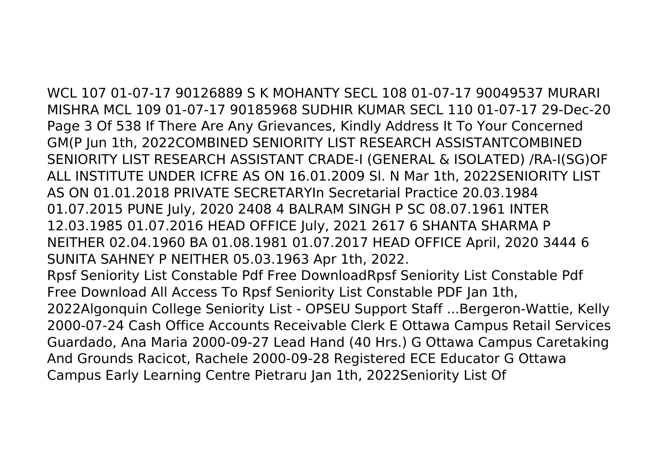WCL 107 01-07-17 90126889 S K MOHANTY SECL 108 01-07-17 90049537 MURARI MISHRA MCL 109 01-07-17 90185968 SUDHIR KUMAR SECL 110 01-07-17 29-Dec-20 Page 3 Of 538 If There Are Any Grievances, Kindly Address It To Your Concerned GM(P Jun 1th, 2022COMBINED SENIORITY LIST RESEARCH ASSISTANTCOMBINED SENIORITY LIST RESEARCH ASSISTANT CRADE-I (GENERAL & ISOLATED) /RA-I(SG)OF ALL INSTITUTE UNDER ICFRE AS ON 16.01.2009 Sl. N Mar 1th, 2022SENIORITY LIST AS ON 01.01.2018 PRIVATE SECRETARYIn Secretarial Practice 20.03.1984 01.07.2015 PUNE July, 2020 2408 4 BALRAM SINGH P SC 08.07.1961 INTER 12.03.1985 01.07.2016 HEAD OFFICE July, 2021 2617 6 SHANTA SHARMA P NEITHER 02.04.1960 BA 01.08.1981 01.07.2017 HEAD OFFICE April, 2020 3444 6 SUNITA SAHNEY P NEITHER 05.03.1963 Apr 1th, 2022. Rpsf Seniority List Constable Pdf Free DownloadRpsf Seniority List Constable Pdf Free Download All Access To Rpsf Seniority List Constable PDF Jan 1th, 2022Algonquin College Seniority List - OPSEU Support Staff ...Bergeron-Wattie, Kelly 2000-07-24 Cash Office Accounts Receivable Clerk E Ottawa Campus Retail Services Guardado, Ana Maria 2000-09-27 Lead Hand (40 Hrs.) G Ottawa Campus Caretaking And Grounds Racicot, Rachele 2000-09-28 Registered ECE Educator G Ottawa Campus Early Learning Centre Pietraru Jan 1th, 2022Seniority List Of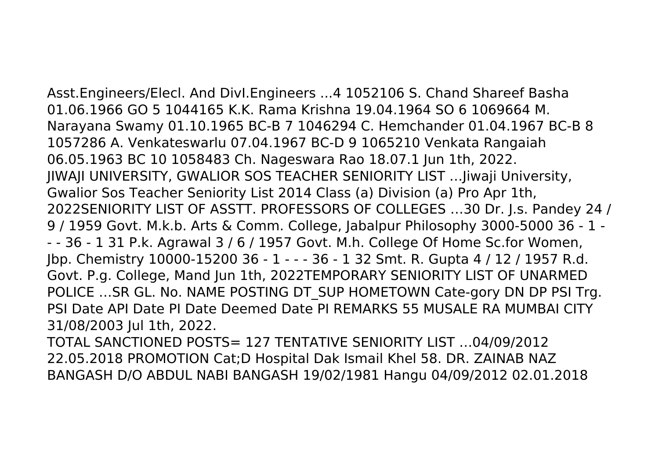Asst.Engineers/Elecl. And DivI.Engineers ...4 1052106 S. Chand Shareef Basha 01.06.1966 GO 5 1044165 K.K. Rama Krishna 19.04.1964 SO 6 1069664 M. Narayana Swamy 01.10.1965 BC-B 7 1046294 C. Hemchander 01.04.1967 BC-B 8 1057286 A. Venkateswarlu 07.04.1967 BC-D 9 1065210 Venkata Rangaiah 06.05.1963 BC 10 1058483 Ch. Nageswara Rao 18.07.1 Jun 1th, 2022. JIWAJI UNIVERSITY, GWALIOR SOS TEACHER SENIORITY LIST …Jiwaji University, Gwalior Sos Teacher Seniority List 2014 Class (a) Division (a) Pro Apr 1th, 2022SENIORITY LIST OF ASSTT. PROFESSORS OF COLLEGES …30 Dr. J.s. Pandey 24 / 9 / 1959 Govt. M.k.b. Arts & Comm. College, Jabalpur Philosophy 3000-5000 36 - 1 - - - 36 - 1 31 P.k. Agrawal 3 / 6 / 1957 Govt. M.h. College Of Home Sc.for Women, Jbp. Chemistry 10000-15200 36 - 1 - - - 36 - 1 32 Smt. R. Gupta 4 / 12 / 1957 R.d. Govt. P.g. College, Mand Jun 1th, 2022TEMPORARY SENIORITY LIST OF UNARMED POLICE ... SR GL. No. NAME POSTING DT SUP HOMETOWN Cate-gory DN DP PSI Trg. PSI Date API Date PI Date Deemed Date PI REMARKS 55 MUSALE RA MUMBAI CITY 31/08/2003 Jul 1th, 2022.

TOTAL SANCTIONED POSTS= 127 TENTATIVE SENIORITY LIST …04/09/2012 22.05.2018 PROMOTION Cat;D Hospital Dak Ismail Khel 58. DR. ZAINAB NAZ BANGASH D/O ABDUL NABI BANGASH 19/02/1981 Hangu 04/09/2012 02.01.2018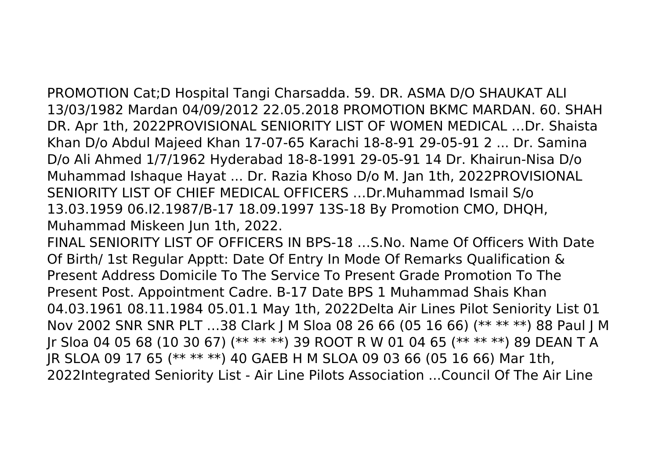PROMOTION Cat;D Hospital Tangi Charsadda. 59. DR. ASMA D/O SHAUKAT ALI 13/03/1982 Mardan 04/09/2012 22.05.2018 PROMOTION BKMC MARDAN. 60. SHAH DR. Apr 1th, 2022PROVISIONAL SENIORITY LIST OF WOMEN MEDICAL …Dr. Shaista Khan D/o Abdul Majeed Khan 17-07-65 Karachi 18-8-91 29-05-91 2 ... Dr. Samina D/o Ali Ahmed 1/7/1962 Hyderabad 18-8-1991 29-05-91 14 Dr. Khairun-Nisa D/o Muhammad Ishaque Hayat ... Dr. Razia Khoso D/o M. Jan 1th, 2022PROVISIONAL SENIORITY LIST OF CHIEF MEDICAL OFFICERS …Dr.Muhammad Ismail S/o 13.03.1959 06.I2.1987/B-17 18.09.1997 13S-18 By Promotion CMO, DHQH, Muhammad Miskeen Jun 1th, 2022.

FINAL SENIORITY LIST OF OFFICERS IN BPS-18 …S.No. Name Of Officers With Date Of Birth/ 1st Regular Apptt: Date Of Entry In Mode Of Remarks Qualification & Present Address Domicile To The Service To Present Grade Promotion To The Present Post. Appointment Cadre. B-17 Date BPS 1 Muhammad Shais Khan 04.03.1961 08.11.1984 05.01.1 May 1th, 2022Delta Air Lines Pilot Seniority List 01 Nov 2002 SNR SNR PLT …38 Clark J M Sloa 08 26 66 (05 16 66) (\*\* \*\* \*\*) 88 Paul J M Jr Sloa 04 05 68 (10 30 67) (\*\* \*\* \*\*) 39 ROOT R W 01 04 65 (\*\* \*\* \*\*) 89 DEAN T A JR SLOA 09 17 65 (\*\* \*\* \*\*) 40 GAEB H M SLOA 09 03 66 (05 16 66) Mar 1th, 2022Integrated Seniority List - Air Line Pilots Association ...Council Of The Air Line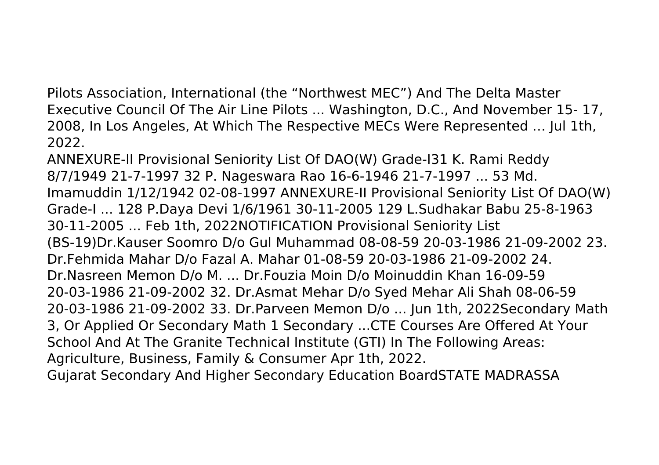Pilots Association, International (the "Northwest MEC") And The Delta Master Executive Council Of The Air Line Pilots ... Washington, D.C., And November 15- 17, 2008, In Los Angeles, At Which The Respective MECs Were Represented … Jul 1th, 2022.

ANNEXURE-II Provisional Seniority List Of DAO(W) Grade-I31 K. Rami Reddy 8/7/1949 21-7-1997 32 P. Nageswara Rao 16-6-1946 21-7-1997 ... 53 Md. Imamuddin 1/12/1942 02-08-1997 ANNEXURE-II Provisional Seniority List Of DAO(W) Grade-I ... 128 P.Daya Devi 1/6/1961 30-11-2005 129 L.Sudhakar Babu 25-8-1963 30-11-2005 ... Feb 1th, 2022NOTIFICATION Provisional Seniority List (BS-19)Dr.Kauser Soomro D/o Gul Muhammad 08-08-59 20-03-1986 21-09-2002 23. Dr.Fehmida Mahar D/o Fazal A. Mahar 01-08-59 20-03-1986 21-09-2002 24. Dr.Nasreen Memon D/o M. ... Dr.Fouzia Moin D/o Moinuddin Khan 16-09-59 20-03-1986 21-09-2002 32. Dr.Asmat Mehar D/o Syed Mehar Ali Shah 08-06-59 20-03-1986 21-09-2002 33. Dr.Parveen Memon D/o ... Jun 1th, 2022Secondary Math 3, Or Applied Or Secondary Math 1 Secondary ...CTE Courses Are Offered At Your School And At The Granite Technical Institute (GTI) In The Following Areas: Agriculture, Business, Family & Consumer Apr 1th, 2022. Gujarat Secondary And Higher Secondary Education BoardSTATE MADRASSA